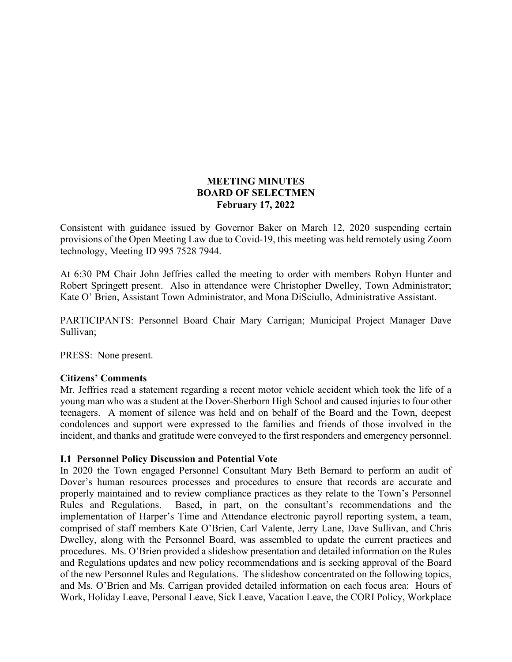### **MEETING MINUTES BOARD OF SELECTMEN February 17, 2022**

Consistent with guidance issued by Governor Baker on March 12, 2020 suspending certain provisions of the Open Meeting Law due to Covid-19, this meeting was held remotely using Zoom technology, Meeting ID 995 7528 7944.

At 6:30 PM Chair John Jeffries called the meeting to order with members Robyn Hunter and Robert Springett present. Also in attendance were Christopher Dwelley, Town Administrator; Kate O' Brien, Assistant Town Administrator, and Mona DiSciullo, Administrative Assistant.

PARTICIPANTS: Personnel Board Chair Mary Carrigan; Municipal Project Manager Dave Sullivan;

PRESS: None present.

#### **Citizens' Comments**

Mr. Jeffries read a statement regarding a recent motor vehicle accident which took the life of a young man who was a student at the Dover-Sherborn High School and caused injuries to four other teenagers. A moment of silence was held and on behalf of the Board and the Town, deepest condolences and support were expressed to the families and friends of those involved in the incident, and thanks and gratitude were conveyed to the first responders and emergency personnel.

#### **I.1 Personnel Policy Discussion and Potential Vote**

In 2020 the Town engaged Personnel Consultant Mary Beth Bernard to perform an audit of Dover's human resources processes and procedures to ensure that records are accurate and properly maintained and to review compliance practices as they relate to the Town's Personnel Rules and Regulations. Based, in part, on the consultant's recommendations and the implementation of Harper's Time and Attendance electronic payroll reporting system, a team, comprised of staff members Kate O'Brien, Carl Valente, Jerry Lane, Dave Sullivan, and Chris Dwelley, along with the Personnel Board, was assembled to update the current practices and procedures. Ms. O'Brien provided a slideshow presentation and detailed information on the Rules and Regulations updates and new policy recommendations and is seeking approval of the Board of the new Personnel Rules and Regulations. The slideshow concentrated on the following topics, and Ms. O'Brien and Ms. Carrigan provided detailed information on each focus area: Hours of Work, Holiday Leave, Personal Leave, Sick Leave, Vacation Leave, the CORI Policy, Workplace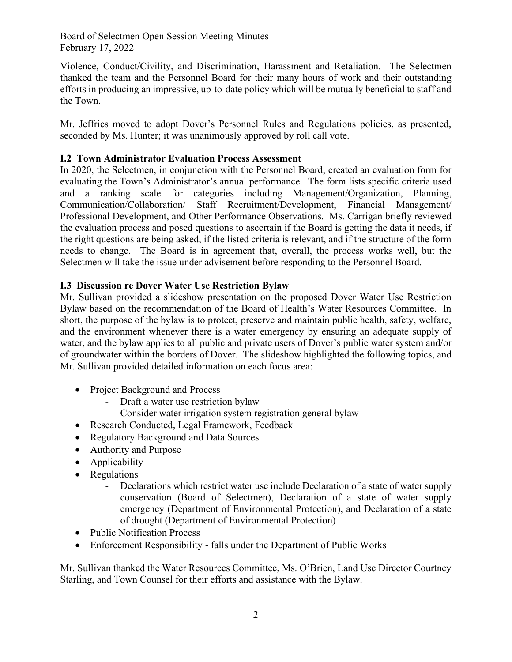Board of Selectmen Open Session Meeting Minutes February 17, 2022

Violence, Conduct/Civility, and Discrimination, Harassment and Retaliation. The Selectmen thanked the team and the Personnel Board for their many hours of work and their outstanding efforts in producing an impressive, up-to-date policy which will be mutually beneficial to staff and the Town.

Mr. Jeffries moved to adopt Dover's Personnel Rules and Regulations policies, as presented, seconded by Ms. Hunter; it was unanimously approved by roll call vote.

# **I.2 Town Administrator Evaluation Process Assessment**

In 2020, the Selectmen, in conjunction with the Personnel Board, created an evaluation form for evaluating the Town's Administrator's annual performance. The form lists specific criteria used and a ranking scale for categories including Management/Organization, Planning, Communication/Collaboration/ Staff Recruitment/Development, Financial Management/ Professional Development, and Other Performance Observations. Ms. Carrigan briefly reviewed the evaluation process and posed questions to ascertain if the Board is getting the data it needs, if the right questions are being asked, if the listed criteria is relevant, and if the structure of the form needs to change. The Board is in agreement that, overall, the process works well, but the Selectmen will take the issue under advisement before responding to the Personnel Board.

# **I.3 Discussion re Dover Water Use Restriction Bylaw**

Mr. Sullivan provided a slideshow presentation on the proposed Dover Water Use Restriction Bylaw based on the recommendation of the Board of Health's Water Resources Committee. In short, the purpose of the bylaw is to protect, preserve and maintain public health, safety, welfare, and the environment whenever there is a water emergency by ensuring an adequate supply of water, and the bylaw applies to all public and private users of Dover's public water system and/or of groundwater within the borders of Dover. The slideshow highlighted the following topics, and Mr. Sullivan provided detailed information on each focus area:

- Project Background and Process
	- Draft a water use restriction bylaw
	- Consider water irrigation system registration general bylaw
- Research Conducted, Legal Framework, Feedback
- Regulatory Background and Data Sources
- Authority and Purpose
- Applicability
- Regulations
	- Declarations which restrict water use include Declaration of a state of water supply conservation (Board of Selectmen), Declaration of a state of water supply emergency (Department of Environmental Protection), and Declaration of a state of drought (Department of Environmental Protection)
- Public Notification Process
- Enforcement Responsibility falls under the Department of Public Works

Mr. Sullivan thanked the Water Resources Committee, Ms. O'Brien, Land Use Director Courtney Starling, and Town Counsel for their efforts and assistance with the Bylaw.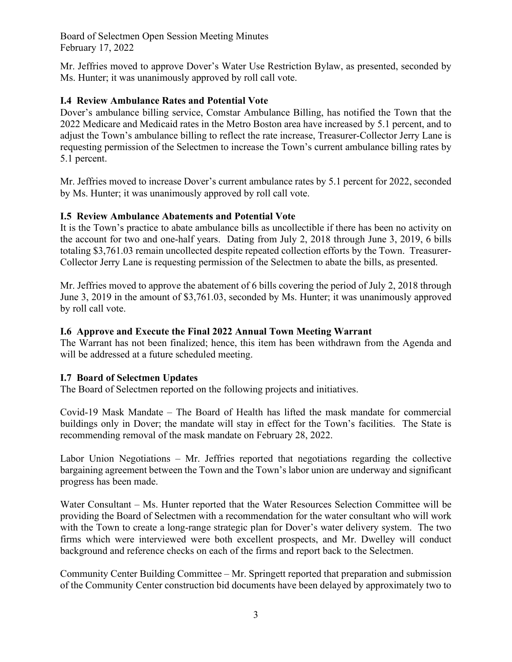Board of Selectmen Open Session Meeting Minutes February 17, 2022

Mr. Jeffries moved to approve Dover's Water Use Restriction Bylaw, as presented, seconded by Ms. Hunter; it was unanimously approved by roll call vote.

## **I.4 Review Ambulance Rates and Potential Vote**

Dover's ambulance billing service, Comstar Ambulance Billing, has notified the Town that the 2022 Medicare and Medicaid rates in the Metro Boston area have increased by 5.1 percent, and to adjust the Town's ambulance billing to reflect the rate increase, Treasurer-Collector Jerry Lane is requesting permission of the Selectmen to increase the Town's current ambulance billing rates by 5.1 percent.

Mr. Jeffries moved to increase Dover's current ambulance rates by 5.1 percent for 2022, seconded by Ms. Hunter; it was unanimously approved by roll call vote.

## **I.5 Review Ambulance Abatements and Potential Vote**

It is the Town's practice to abate ambulance bills as uncollectible if there has been no activity on the account for two and one-half years. Dating from July 2, 2018 through June 3, 2019, 6 bills totaling \$3,761.03 remain uncollected despite repeated collection efforts by the Town. Treasurer-Collector Jerry Lane is requesting permission of the Selectmen to abate the bills, as presented.

Mr. Jeffries moved to approve the abatement of 6 bills covering the period of July 2, 2018 through June 3, 2019 in the amount of \$3,761.03, seconded by Ms. Hunter; it was unanimously approved by roll call vote.

## **I.6 Approve and Execute the Final 2022 Annual Town Meeting Warrant**

The Warrant has not been finalized; hence, this item has been withdrawn from the Agenda and will be addressed at a future scheduled meeting.

## **I.7 Board of Selectmen Updates**

The Board of Selectmen reported on the following projects and initiatives.

Covid-19 Mask Mandate – The Board of Health has lifted the mask mandate for commercial buildings only in Dover; the mandate will stay in effect for the Town's facilities. The State is recommending removal of the mask mandate on February 28, 2022.

Labor Union Negotiations – Mr. Jeffries reported that negotiations regarding the collective bargaining agreement between the Town and the Town's labor union are underway and significant progress has been made.

Water Consultant – Ms. Hunter reported that the Water Resources Selection Committee will be providing the Board of Selectmen with a recommendation for the water consultant who will work with the Town to create a long-range strategic plan for Dover's water delivery system. The two firms which were interviewed were both excellent prospects, and Mr. Dwelley will conduct background and reference checks on each of the firms and report back to the Selectmen.

Community Center Building Committee – Mr. Springett reported that preparation and submission of the Community Center construction bid documents have been delayed by approximately two to